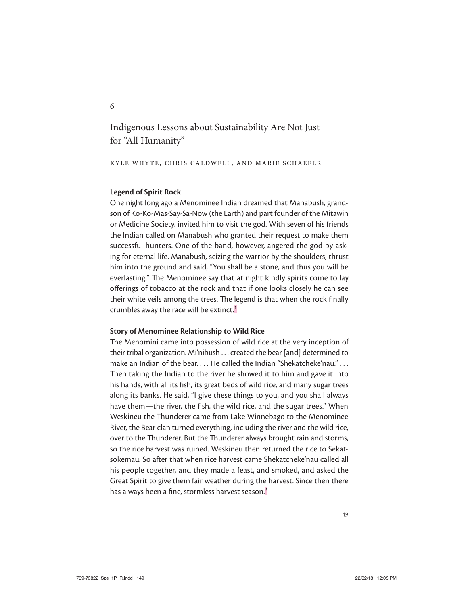# Indigenous Lessons about Sustainability Are Not Just for "All Humanity"

Kyle Whyte, Chris Caldwell, and Marie Schaefer

# **Legend of Spirit Rock**

One night long ago a Menominee Indian dreamed that Manabush, grandson of Ko-Ko-Mas-Say-Sa-Now (the Earth) and part founder of the Mitawin or Medicine Society, invited him to visit the god. With seven of his friends the Indian called on Manabush who granted their request to make them successful hunters. One of the band, however, angered the god by asking for eternal life. Manabush, seizing the warrior by the shoulders, thrust him into the ground and said, "You shall be a stone, and thus you will be everlasting." The Menominee say that at night kindly spirits come to lay offerings of tobacco at the rock and that if one looks closely he can see their white veils among the trees. The legend is that when the rock finally crumbles away the race will be extinct.<sup>1</sup>

# **Story of Menominee Relationship to Wild Rice**

The Menomini came into possession of wild rice at the very inception of their tribal organization. Mi'nibush . . . created the bear [and] determined to make an Indian of the bear.... He called the Indian "Shekatcheke'nau."... Then taking the Indian to the river he showed it to him and gave it into his hands, with all its fish, its great beds of wild rice, and many sugar trees along its banks. He said, "I give these things to you, and you shall always have them— the river, the fish, the wild rice, and the sugar trees." When Weskineu the Thunderer came from Lake Winnebago to the Menominee River, the Bear clan turned everything, including the river and the wild rice, over to the Thunderer. But the Thunderer always brought rain and storms, so the rice harvest was ruined. Weskineu then returned the rice to Sekatsokemau. So after that when rice harvest came Shekatcheke'nau called all his people together, and they made a feast, and smoked, and asked the Great Spirit to give them fair weather during the harvest. Since then there has always been a fine, stormless harvest season.<sup>2</sup>

6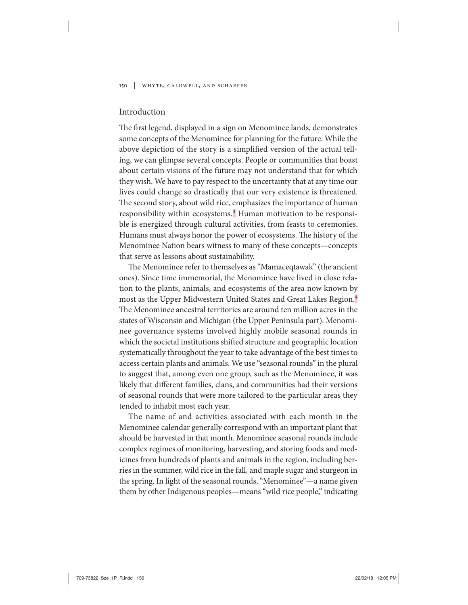# Introduction

The first legend, displayed in a sign on Menominee lands, demonstrates some concepts of the Menominee for planning for the future. While the above depiction of the story is a simplified version of the actual telling, we can glimpse several concepts. People or communities that boast about certain visions of the future may not understand that for which they wish. We have to pay respect to the uncertainty that at any time our lives could change so drastically that our very existence is threatened. The second story, about wild rice, emphasizes the importance of human responsibility within ecosystems.<sup>3</sup> Human motivation to be responsible is energized through cultural activities, from feasts to ceremonies. Humans must always honor the power of ecosystems. The history of the Menominee Nation bears witness to many of these concepts— concepts that serve as lessons about sustainability.

The Menominee refer to themselves as "Mamaceqtawak" (the ancient ones). Since time immemorial, the Menominee have lived in close relation to the plants, animals, and ecosystems of the area now known by most as the Upper Midwestern United States and Great Lakes Region.<sup>4</sup> The Menominee ancestral territories are around ten million acres in the states of Wisconsin and Michigan (the Upper Peninsula part). Menominee governance systems involved highly mobile seasonal rounds in which the societal institutions shifted structure and geographic location systematically throughout the year to take advantage of the best times to access certain plants and animals. We use "seasonal rounds" in the plural to suggest that, among even one group, such as the Menominee, it was likely that different families, clans, and communities had their versions of seasonal rounds that were more tailored to the particular areas they tended to inhabit most each year.

The name of and activities associated with each month in the Menominee calendar generally correspond with an important plant that should be harvested in that month. Menominee seasonal rounds include complex regimes of monitoring, harvesting, and storing foods and medicines from hundreds of plants and animals in the region, including berries in the summer, wild rice in the fall, and maple sugar and sturgeon in the spring. In light of the seasonal rounds, "Menominee"— a name given them by other Indigenous peoples— means "wild rice people," indicating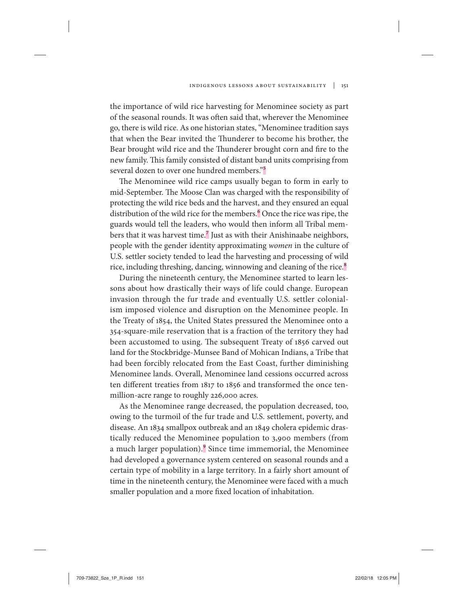the importance of wild rice harvesting for Menominee society as part of the seasonal rounds. It was often said that, wherever the Menominee go, there is wild rice. As one historian states, "Menominee tradition says that when the Bear invited the Thunderer to become his brother, the Bear brought wild rice and the Thunderer brought corn and fire to the new family. This family consisted of distant band units comprising from several dozen to over one hundred members."5

The Menominee wild rice camps usually began to form in early to mid- September. The Moose Clan was charged with the responsibility of protecting the wild rice beds and the harvest, and they ensured an equal distribution of the wild rice for the members.<sup>6</sup> Once the rice was ripe, the guards would tell the leaders, who would then inform all Tribal members that it was harvest time.<sup>7</sup> Just as with their Anishinaabe neighbors, people with the gender identity approximating women in the culture of U.S. settler society tended to lead the harvesting and processing of wild rice, including threshing, dancing, winnowing and cleaning of the rice.<sup>8</sup>

During the nineteenth century, the Menominee started to learn lessons about how drastically their ways of life could change. European invasion through the fur trade and eventually U.S. settler colonialism imposed violence and disruption on the Menominee people. In the Treaty of 1854, the United States pressured the Menominee onto a 354- square- mile reservation that is a fraction of the territory they had been accustomed to using. The subsequent Treaty of 1856 carved out land for the Stockbridge- Munsee Band of Mohican Indians, a Tribe that had been forcibly relocated from the East Coast, further diminishing Menominee lands. Overall, Menominee land cessions occurred across ten different treaties from 1817 to 1856 and transformed the once tenmillion-acre range to roughly 226,000 acres.

As the Menominee range decreased, the population decreased, too, owing to the turmoil of the fur trade and U.S. settlement, poverty, and disease. An 1834 smallpox outbreak and an 1849 cholera epidemic drastically reduced the Menominee population to 3,900 members (from a much larger population).<sup>9</sup> Since time immemorial, the Menominee had developed a governance system centered on seasonal rounds and a certain type of mobility in a large territory. In a fairly short amount of time in the nineteenth century, the Menominee were faced with a much smaller population and a more fixed location of inhabitation.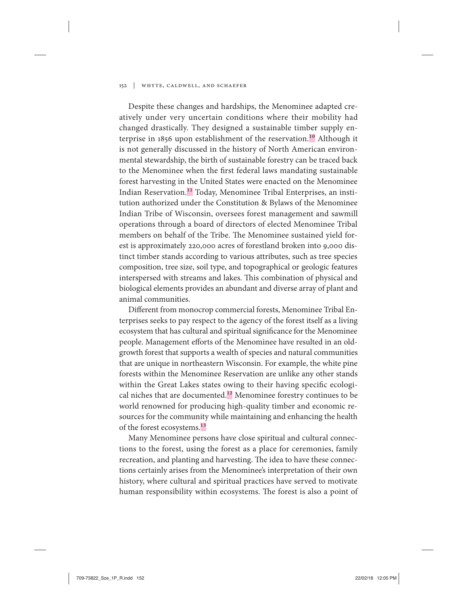Despite these changes and hardships, the Menominee adapted creatively under very uncertain conditions where their mobility had changed drastically. They designed a sustainable timber supply enterprise in 1856 upon establishment of the reservation.<sup>10</sup> Although it is not generally discussed in the history of North American environmental stewardship, the birth of sustainable forestry can be traced back to the Menominee when the first federal laws mandating sustainable forest harvesting in the United States were enacted on the Menominee Indian Reservation.11 Today, Menominee Tribal Enterprises, an institution authorized under the Constitution & Bylaws of the Menominee Indian Tribe of Wisconsin, oversees forest management and sawmill operations through a board of directors of elected Menominee Tribal members on behalf of the Tribe. The Menominee sustained yield forest is approximately 220,000 acres of forestland broken into 9,000 distinct timber stands according to various attributes, such as tree species composition, tree size, soil type, and topographical or geologic features interspersed with streams and lakes. This combination of physical and biological elements provides an abundant and diverse array of plant and animal communities.

Different from monocrop commercial forests, Menominee Tribal Enterprises seeks to pay respect to the agency of the forest itself as a living ecosystem that has cultural and spiritual significance for the Menominee people. Management efforts of the Menominee have resulted in an oldgrowth forest that supports a wealth of species and natural communities that are unique in northeastern Wisconsin. For example, the white pine forests within the Menominee Reservation are unlike any other stands within the Great Lakes states owing to their having specific ecological niches that are documented.<sup>12</sup> Menominee forestry continues to be world renowned for producing high- quality timber and economic resources for the community while maintaining and enhancing the health of the forest ecosystems.<sup>13</sup>

Many Menominee persons have close spiritual and cultural connections to the forest, using the forest as a place for ceremonies, family recreation, and planting and harvesting. The idea to have these connections certainly arises from the Menominee's interpretation of their own history, where cultural and spiritual practices have served to motivate human responsibility within ecosystems. The forest is also a point of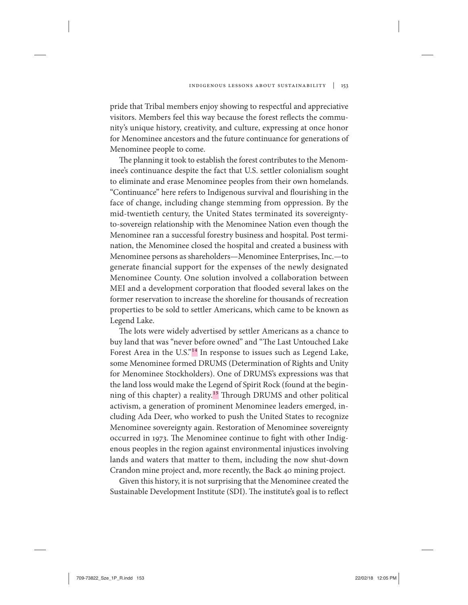pride that Tribal members enjoy showing to respectful and appreciative visitors. Members feel this way because the forest reflects the community's unique history, creativity, and culture, expressing at once honor for Menominee ancestors and the future continuance for generations of Menominee people to come.

The planning it took to establish the forest contributes to the Menominee's continuance despite the fact that U.S. settler colonialism sought to eliminate and erase Menominee peoples from their own homelands. "Continuance" here refers to Indigenous survival and flourishing in the face of change, including change stemming from oppression. By the mid- twentieth century, the United States terminated its sovereigntyto- sovereign relationship with the Menominee Nation even though the Menominee ran a successful forestry business and hospital. Post termination, the Menominee closed the hospital and created a business with Menominee persons as shareholders— Menominee Enterprises, Inc.— to generate financial support for the expenses of the newly designated Menominee County. One solution involved a collaboration between MEI and a development corporation that flooded several lakes on the former reservation to increase the shoreline for thousands of recreation properties to be sold to settler Americans, which came to be known as Legend Lake.

The lots were widely advertised by settler Americans as a chance to buy land that was "never before owned" and "The Last Untouched Lake Forest Area in the U.S."<sup>14</sup> In response to issues such as Legend Lake, some Menominee formed DRUMS (Determination of Rights and Unity for Menominee Stockholders). One of DRUMS's expressions was that the land loss would make the Legend of Spirit Rock (found at the beginning of this chapter) a reality.<sup>15</sup> Through DRUMS and other political activism, a generation of prominent Menominee leaders emerged, including Ada Deer, who worked to push the United States to recognize Menominee sovereignty again. Restoration of Menominee sovereignty occurred in 1973. The Menominee continue to fight with other Indigenous peoples in the region against environmental injustices involving lands and waters that matter to them, including the now shut- down Crandon mine project and, more recently, the Back 40 mining project.

Given this history, it is not surprising that the Menominee created the Sustainable Development Institute (SDI). The institute's goal is to reflect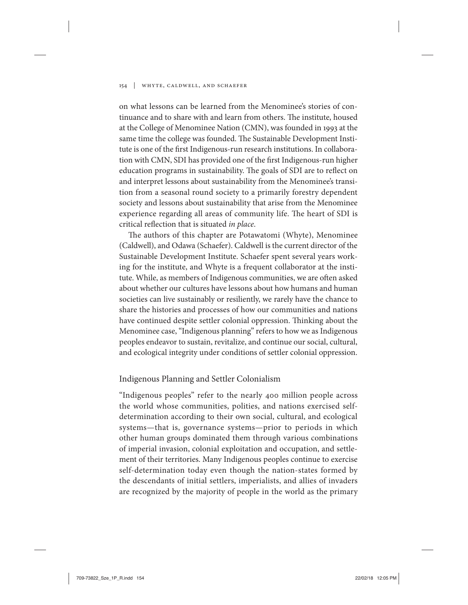on what lessons can be learned from the Menominee's stories of continuance and to share with and learn from others. The institute, housed at the College of Menominee Nation (CMN), was founded in 1993 at the same time the college was founded. The Sustainable Development Institute is one of the first Indigenous- run research institutions. In collaboration with CMN, SDI has provided one of the first Indigenous- run higher education programs in sustainability. The goals of SDI are to reflect on and interpret lessons about sustainability from the Menominee's transition from a seasonal round society to a primarily forestry dependent society and lessons about sustainability that arise from the Menominee experience regarding all areas of community life. The heart of SDI is critical reflection that is situated in place.

The authors of this chapter are Potawatomi (Whyte), Menominee (Caldwell), and Odawa (Schaefer). Caldwell is the current director of the Sustainable Development Institute. Schaefer spent several years working for the institute, and Whyte is a frequent collaborator at the institute. While, as members of Indigenous communities, we are often asked about whether our cultures have lessons about how humans and human societies can live sustainably or resiliently, we rarely have the chance to share the histories and processes of how our communities and nations have continued despite settler colonial oppression. Thinking about the Menominee case, "Indigenous planning" refers to how we as Indigenous peoples endeavor to sustain, revitalize, and continue our social, cultural, and ecological integrity under conditions of settler colonial oppression.

# Indigenous Planning and Settler Colonialism

"Indigenous peoples" refer to the nearly 400 million people across the world whose communities, polities, and nations exercised selfdetermination according to their own social, cultural, and ecological systems— that is, governance systems— prior to periods in which other human groups dominated them through various combinations of imperial invasion, colonial exploitation and occupation, and settlement of their territories. Many Indigenous peoples continue to exercise self- determination today even though the nation- states formed by the descendants of initial settlers, imperialists, and allies of invaders are recognized by the majority of people in the world as the primary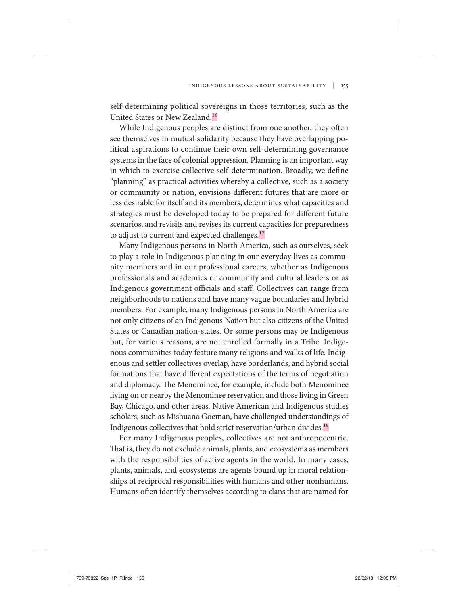self- determining political sovereigns in those territories, such as the United States or New Zealand.16

While Indigenous peoples are distinct from one another, they often see themselves in mutual solidarity because they have overlapping political aspirations to continue their own self- determining governance systems in the face of colonial oppression. Planning is an important way in which to exercise collective self- determination. Broadly, we define "planning" as practical activities whereby a collective, such as a society or community or nation, envisions different futures that are more or less desirable for itself and its members, determines what capacities and strategies must be developed today to be prepared for different future scenarios, and revisits and revises its current capacities for preparedness to adjust to current and expected challenges.<sup>17</sup>

Many Indigenous persons in North America, such as ourselves, seek to play a role in Indigenous planning in our everyday lives as community members and in our professional careers, whether as Indigenous professionals and academics or community and cultural leaders or as Indigenous government officials and staff. Collectives can range from neighborhoods to nations and have many vague boundaries and hybrid members. For example, many Indigenous persons in North America are not only citizens of an Indigenous Nation but also citizens of the United States or Canadian nation- states. Or some persons may be Indigenous but, for various reasons, are not enrolled formally in a Tribe. Indigenous communities today feature many religions and walks of life. Indigenous and settler collectives overlap, have borderlands, and hybrid social formations that have different expectations of the terms of negotiation and diplomacy. The Menominee, for example, include both Menominee living on or nearby the Menominee reservation and those living in Green Bay, Chicago, and other areas. Native American and Indigenous studies scholars, such as Mishuana Goeman, have challenged understandings of Indigenous collectives that hold strict reservation/urban divides.18

For many Indigenous peoples, collectives are not anthropocentric. That is, they do not exclude animals, plants, and ecosystems as members with the responsibilities of active agents in the world. In many cases, plants, animals, and ecosystems are agents bound up in moral relationships of reciprocal responsibilities with humans and other nonhumans. Humans often identify themselves according to clans that are named for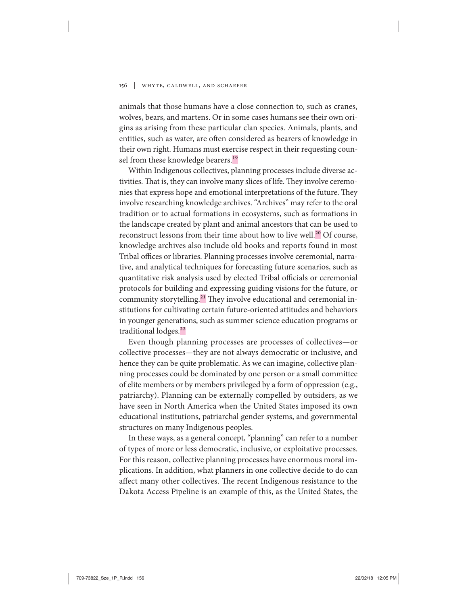animals that those humans have a close connection to, such as cranes, wolves, bears, and martens. Or in some cases humans see their own origins as arising from these particular clan species. Animals, plants, and entities, such as water, are often considered as bearers of knowledge in their own right. Humans must exercise respect in their requesting counsel from these knowledge bearers.<sup>19</sup>

Within Indigenous collectives, planning processes include diverse activities. That is, they can involve many slices of life. They involve ceremonies that express hope and emotional interpretations of the future. They involve researching knowledge archives. "Archives" may refer to the oral tradition or to actual formations in ecosystems, such as formations in the landscape created by plant and animal ancestors that can be used to reconstruct lessons from their time about how to live well.<sup>20</sup> Of course, knowledge archives also include old books and reports found in most Tribal offices or libraries. Planning processes involve ceremonial, narrative, and analytical techniques for forecasting future scenarios, such as quantitative risk analysis used by elected Tribal officials or ceremonial protocols for building and expressing guiding visions for the future, or community storytelling.<sup>21</sup> They involve educational and ceremonial institutions for cultivating certain future- oriented attitudes and behaviors in younger generations, such as summer science education programs or traditional lodges.<sup>22</sup>

Even though planning processes are processes of collectives— or collective processes— they are not always democratic or inclusive, and hence they can be quite problematic. As we can imagine, collective planning processes could be dominated by one person or a small committee of elite members or by members privileged by a form of oppression (e.g., patriarchy). Planning can be externally compelled by outsiders, as we have seen in North America when the United States imposed its own educational institutions, patriarchal gender systems, and governmental structures on many Indigenous peoples.

In these ways, as a general concept, "planning" can refer to a number of types of more or less democratic, inclusive, or exploitative processes. For this reason, collective planning processes have enormous moral implications. In addition, what planners in one collective decide to do can affect many other collectives. The recent Indigenous resistance to the Dakota Access Pipeline is an example of this, as the United States, the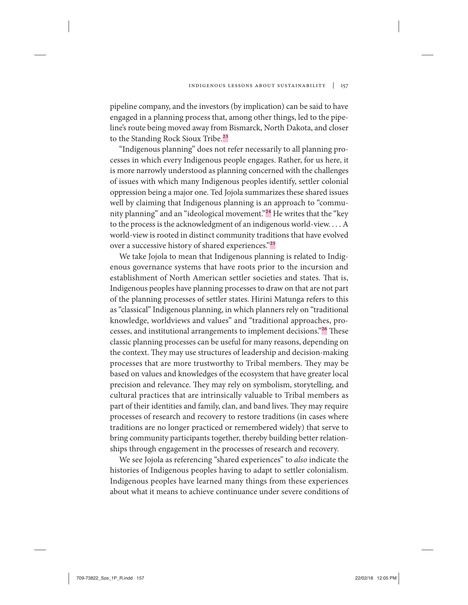pipeline company, and the investors (by implication) can be said to have engaged in a planning process that, among other things, led to the pipeline's route being moved away from Bismarck, North Dakota, and closer to the Standing Rock Sioux Tribe.<sup>23</sup>

"Indigenous planning" does not refer necessarily to all planning processes in which every Indigenous people engages. Rather, for us here, it is more narrowly understood as planning concerned with the challenges of issues with which many Indigenous peoples identify, settler colonial oppression being a major one. Ted Jojola summarizes these shared issues well by claiming that Indigenous planning is an approach to "community planning" and an "ideological movement."<sup>24</sup> He writes that the "key to the process is the acknowledgment of an indigenous world- view. . . . A world- view is rooted in distinct community traditions that have evolved over a successive history of shared experiences."25

We take Jojola to mean that Indigenous planning is related to Indigenous governance systems that have roots prior to the incursion and establishment of North American settler societies and states. That is, Indigenous peoples have planning processes to draw on that are not part of the planning processes of settler states. Hirini Matunga refers to this as "classical" Indigenous planning, in which planners rely on "traditional knowledge, worldviews and values" and "traditional approaches, processes, and institutional arrangements to implement decisions."26 These classic planning processes can be useful for many reasons, depending on the context. They may use structures of leadership and decision- making processes that are more trustworthy to Tribal members. They may be based on values and knowledges of the ecosystem that have greater local precision and relevance. They may rely on symbolism, storytelling, and cultural practices that are intrinsically valuable to Tribal members as part of their identities and family, clan, and band lives. They may require processes of research and recovery to restore traditions (in cases where traditions are no longer practiced or remembered widely) that serve to bring community participants together, thereby building better relationships through engagement in the processes of research and recovery.

We see Jojola as referencing "shared experiences" to *also* indicate the histories of Indigenous peoples having to adapt to settler colonialism. Indigenous peoples have learned many things from these experiences about what it means to achieve continuance under severe conditions of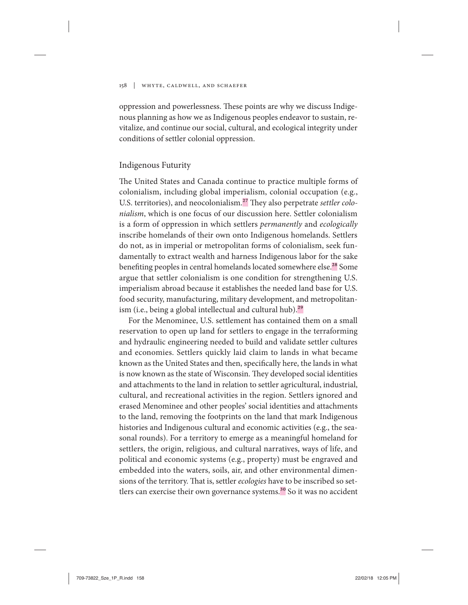oppression and powerlessness. These points are why we discuss Indigenous planning as how we as Indigenous peoples endeavor to sustain, revitalize, and continue our social, cultural, and ecological integrity under conditions of settler colonial oppression.

# Indigenous Futurity

The United States and Canada continue to practice multiple forms of colonialism, including global imperialism, colonial occupation (e.g., U.S. territories), and neocolonialism.<sup>27</sup> They also perpetrate settler colonialism, which is one focus of our discussion here. Settler colonialism is a form of oppression in which settlers permanently and ecologically inscribe homelands of their own onto Indigenous homelands. Settlers do not, as in imperial or metropolitan forms of colonialism, seek fundamentally to extract wealth and harness Indigenous labor for the sake benefiting peoples in central homelands located somewhere else.<sup>28</sup> Some argue that settler colonialism is one condition for strengthening U.S. imperialism abroad because it establishes the needed land base for U.S. food security, manufacturing, military development, and metropolitanism (i.e., being a global intellectual and cultural hub).<sup>29</sup>

For the Menominee, U.S. settlement has contained them on a small reservation to open up land for settlers to engage in the terraforming and hydraulic engineering needed to build and validate settler cultures and economies. Settlers quickly laid claim to lands in what became known as the United States and then, specifically here, the lands in what is now known as the state of Wisconsin. They developed social identities and attachments to the land in relation to settler agricultural, industrial, cultural, and recreational activities in the region. Settlers ignored and erased Menominee and other peoples' social identities and attachments to the land, removing the footprints on the land that mark Indigenous histories and Indigenous cultural and economic activities (e.g., the seasonal rounds). For a territory to emerge as a meaningful homeland for settlers, the origin, religious, and cultural narratives, ways of life, and political and economic systems (e.g., property) must be engraved and embedded into the waters, soils, air, and other environmental dimensions of the territory. That is, settler ecologies have to be inscribed so settlers can exercise their own governance systems.<sup>30</sup> So it was no accident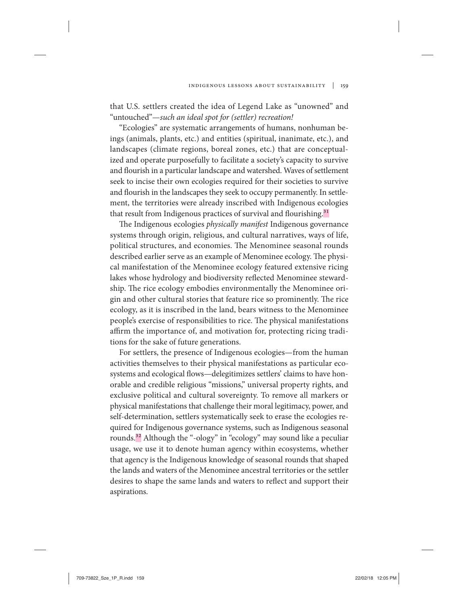that U.S. settlers created the idea of Legend Lake as "unowned" and "untouched"— such an ideal spot for (settler) recreation!

"Ecologies" are systematic arrangements of humans, nonhuman beings (animals, plants, etc.) and entities (spiritual, inanimate, etc.), and landscapes (climate regions, boreal zones, etc.) that are conceptualized and operate purposefully to facilitate a society's capacity to survive and flourish in a particular landscape and watershed. Waves of settlement seek to incise their own ecologies required for their societies to survive and flourish in the landscapes they seek to occupy permanently. In settlement, the territories were already inscribed with Indigenous ecologies that result from Indigenous practices of survival and flourishing.<sup>31</sup>

The Indigenous ecologies physically manifest Indigenous governance systems through origin, religious, and cultural narratives, ways of life, political structures, and economies. The Menominee seasonal rounds described earlier serve as an example of Menominee ecology. The physical manifestation of the Menominee ecology featured extensive ricing lakes whose hydrology and biodiversity reflected Menominee stewardship. The rice ecology embodies environmentally the Menominee origin and other cultural stories that feature rice so prominently. The rice ecology, as it is inscribed in the land, bears witness to the Menominee people's exercise of responsibilities to rice. The physical manifestations affirm the importance of, and motivation for, protecting ricing traditions for the sake of future generations.

For settlers, the presence of Indigenous ecologies— from the human activities themselves to their physical manifestations as particular ecosystems and ecological flows— delegitimizes settlers' claims to have honorable and credible religious "missions," universal property rights, and exclusive political and cultural sovereignty. To remove all markers or physical manifestations that challenge their moral legitimacy, power, and self- determination, settlers systematically seek to erase the ecologies required for Indigenous governance systems, such as Indigenous seasonal rounds.<sup>32</sup> Although the "-ology" in "ecology" may sound like a peculiar usage, we use it to denote human agency within ecosystems, whether that agency is the Indigenous knowledge of seasonal rounds that shaped the lands and waters of the Menominee ancestral territories or the settler desires to shape the same lands and waters to reflect and support their aspirations.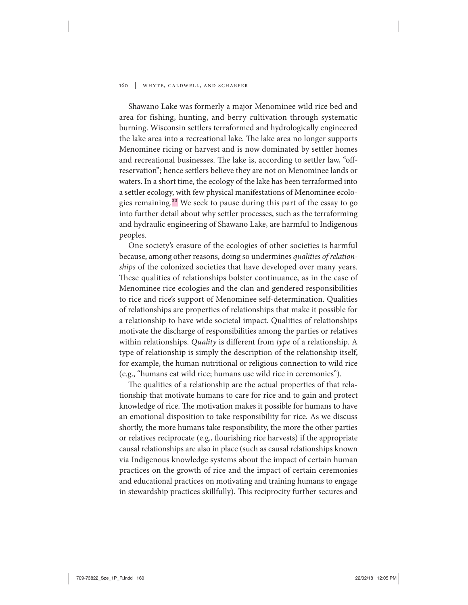Shawano Lake was formerly a major Menominee wild rice bed and area for fishing, hunting, and berry cultivation through systematic burning. Wisconsin settlers terraformed and hydrologically engineered the lake area into a recreational lake. The lake area no longer supports Menominee ricing or harvest and is now dominated by settler homes and recreational businesses. The lake is, according to settler law, "offreservation"; hence settlers believe they are not on Menominee lands or waters. In a short time, the ecology of the lake has been terraformed into a settler ecology, with few physical manifestations of Menominee ecologies remaining. $33$  We seek to pause during this part of the essay to go into further detail about why settler processes, such as the terraforming and hydraulic engineering of Shawano Lake, are harmful to Indigenous peoples.

One society's erasure of the ecologies of other societies is harmful because, among other reasons, doing so undermines qualities of relationships of the colonized societies that have developed over many years. These qualities of relationships bolster continuance, as in the case of Menominee rice ecologies and the clan and gendered responsibilities to rice and rice's support of Menominee self- determination. Qualities of relationships are properties of relationships that make it possible for a relationship to have wide societal impact. Qualities of relationships motivate the discharge of responsibilities among the parties or relatives within relationships. Quality is different from type of a relationship. A type of relationship is simply the description of the relationship itself, for example, the human nutritional or religious connection to wild rice (e.g., "humans eat wild rice; humans use wild rice in ceremonies").

The qualities of a relationship are the actual properties of that relationship that motivate humans to care for rice and to gain and protect knowledge of rice. The motivation makes it possible for humans to have an emotional disposition to take responsibility for rice. As we discuss shortly, the more humans take responsibility, the more the other parties or relatives reciprocate (e.g., flourishing rice harvests) if the appropriate causal relationships are also in place (such as causal relationships known via Indigenous knowledge systems about the impact of certain human practices on the growth of rice and the impact of certain ceremonies and educational practices on motivating and training humans to engage in stewardship practices skillfully). This reciprocity further secures and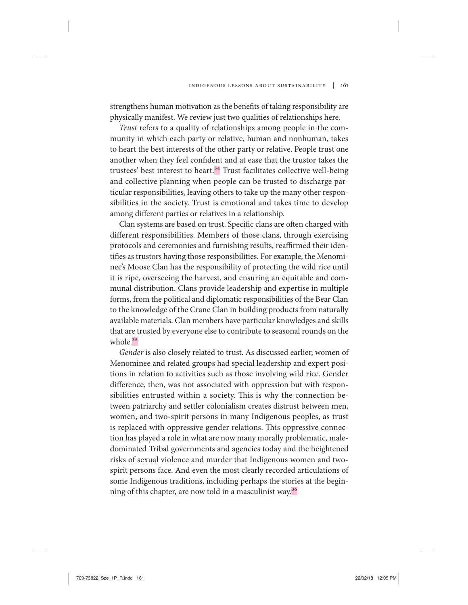strengthens human motivation as the benefits of taking responsibility are physically manifest. We review just two qualities of relationships here.

Trust refers to a quality of relationships among people in the community in which each party or relative, human and nonhuman, takes to heart the best interests of the other party or relative. People trust one another when they feel confident and at ease that the trustor takes the trustees' best interest to heart.<sup>34</sup> Trust facilitates collective well-being and collective planning when people can be trusted to discharge particular responsibilities, leaving others to take up the many other responsibilities in the society. Trust is emotional and takes time to develop among different parties or relatives in a relationship.

Clan systems are based on trust. Specific clans are often charged with different responsibilities. Members of those clans, through exercising protocols and ceremonies and furnishing results, reaffirmed their identifies as trustors having those responsibilities. For example, the Menominee's Moose Clan has the responsibility of protecting the wild rice until it is ripe, overseeing the harvest, and ensuring an equitable and communal distribution. Clans provide leadership and expertise in multiple forms, from the political and diplomatic responsibilities of the Bear Clan to the knowledge of the Crane Clan in building products from naturally available materials. Clan members have particular knowledges and skills that are trusted by everyone else to contribute to seasonal rounds on the whole.<sup>35</sup>

Gender is also closely related to trust. As discussed earlier, women of Menominee and related groups had special leadership and expert positions in relation to activities such as those involving wild rice. Gender difference, then, was not associated with oppression but with responsibilities entrusted within a society. This is why the connection between patriarchy and settler colonialism creates distrust between men, women, and two-spirit persons in many Indigenous peoples, as trust is replaced with oppressive gender relations. This oppressive connection has played a role in what are now many morally problematic, maledominated Tribal governments and agencies today and the heightened risks of sexual violence and murder that Indigenous women and twospirit persons face. And even the most clearly recorded articulations of some Indigenous traditions, including perhaps the stories at the beginning of this chapter, are now told in a masculinist way.<sup>36</sup>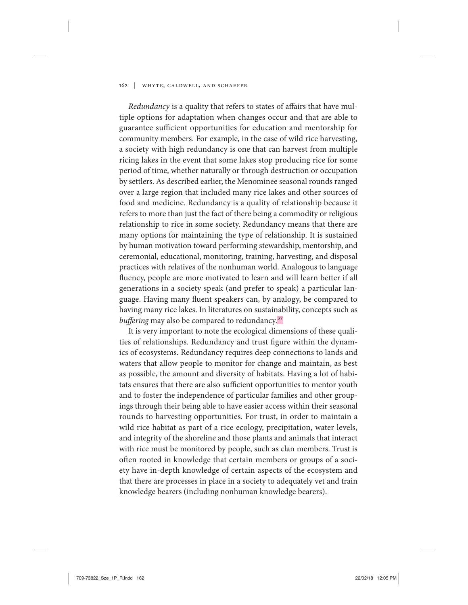Redundancy is a quality that refers to states of affairs that have multiple options for adaptation when changes occur and that are able to guarantee sufficient opportunities for education and mentorship for community members. For example, in the case of wild rice harvesting, a society with high redundancy is one that can harvest from multiple ricing lakes in the event that some lakes stop producing rice for some period of time, whether naturally or through destruction or occupation by settlers. As described earlier, the Menominee seasonal rounds ranged over a large region that included many rice lakes and other sources of food and medicine. Redundancy is a quality of relationship because it refers to more than just the fact of there being a commodity or religious relationship to rice in some society. Redundancy means that there are many options for maintaining the type of relationship. It is sustained by human motivation toward performing stewardship, mentorship, and ceremonial, educational, monitoring, training, harvesting, and disposal practices with relatives of the nonhuman world. Analogous to language fluency, people are more motivated to learn and will learn better if all generations in a society speak (and prefer to speak) a particular language. Having many fluent speakers can, by analogy, be compared to having many rice lakes. In literatures on sustainability, concepts such as buffering may also be compared to redundancy. $37$ 

It is very important to note the ecological dimensions of these qualities of relationships. Redundancy and trust figure within the dynamics of ecosystems. Redundancy requires deep connections to lands and waters that allow people to monitor for change and maintain, as best as possible, the amount and diversity of habitats. Having a lot of habitats ensures that there are also sufficient opportunities to mentor youth and to foster the independence of particular families and other groupings through their being able to have easier access within their seasonal rounds to harvesting opportunities. For trust, in order to maintain a wild rice habitat as part of a rice ecology, precipitation, water levels, and integrity of the shoreline and those plants and animals that interact with rice must be monitored by people, such as clan members. Trust is often rooted in knowledge that certain members or groups of a society have in- depth knowledge of certain aspects of the ecosystem and that there are processes in place in a society to adequately vet and train knowledge bearers (including nonhuman knowledge bearers).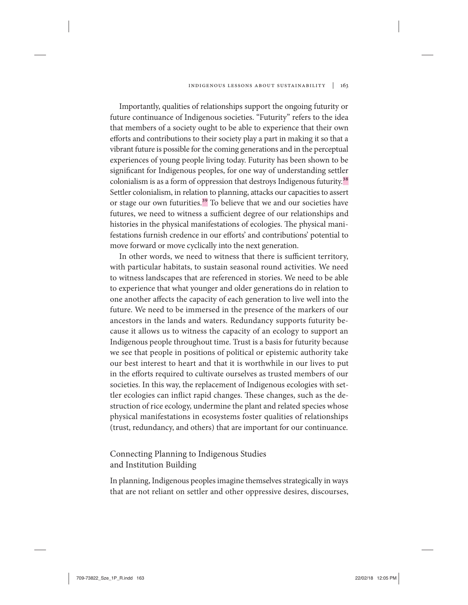Importantly, qualities of relationships support the ongoing futurity or future continuance of Indigenous societies. "Futurity" refers to the idea that members of a society ought to be able to experience that their own efforts and contributions to their society play a part in making it so that a vibrant future is possible for the coming generations and in the perceptual experiences of young people living today. Futurity has been shown to be significant for Indigenous peoples, for one way of understanding settler colonialism is as a form of oppression that destroys Indigenous futurity.<sup>38</sup> Settler colonialism, in relation to planning, attacks our capacities to assert or stage our own futurities.<sup>39</sup> To believe that we and our societies have futures, we need to witness a sufficient degree of our relationships and histories in the physical manifestations of ecologies. The physical manifestations furnish credence in our efforts' and contributions' potential to move forward or move cyclically into the next generation.

In other words, we need to witness that there is sufficient territory, with particular habitats, to sustain seasonal round activities. We need to witness landscapes that are referenced in stories. We need to be able to experience that what younger and older generations do in relation to one another affects the capacity of each generation to live well into the future. We need to be immersed in the presence of the markers of our ancestors in the lands and waters. Redundancy supports futurity because it allows us to witness the capacity of an ecology to support an Indigenous people throughout time. Trust is a basis for futurity because we see that people in positions of political or epistemic authority take our best interest to heart and that it is worthwhile in our lives to put in the efforts required to cultivate ourselves as trusted members of our societies. In this way, the replacement of Indigenous ecologies with settler ecologies can inflict rapid changes. These changes, such as the destruction of rice ecology, undermine the plant and related species whose physical manifestations in ecosystems foster qualities of relationships (trust, redundancy, and others) that are important for our continuance.

# Connecting Planning to Indigenous Studies and Institution Building

In planning, Indigenous peoples imagine themselves strategically in ways that are not reliant on settler and other oppressive desires, discourses,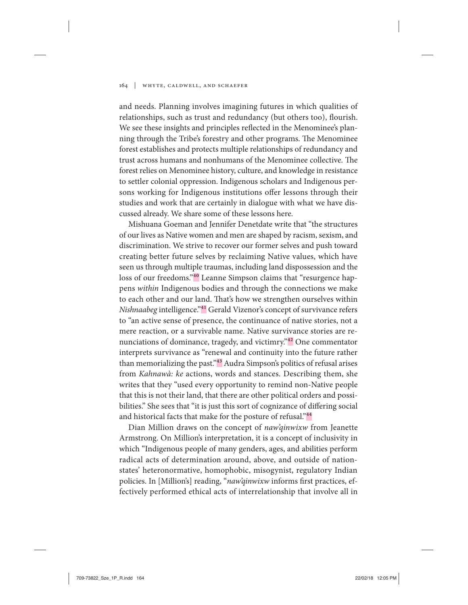and needs. Planning involves imagining futures in which qualities of relationships, such as trust and redundancy (but others too), flourish. We see these insights and principles reflected in the Menominee's planning through the Tribe's forestry and other programs. The Menominee forest establishes and protects multiple relationships of redundancy and trust across humans and nonhumans of the Menominee collective. The forest relies on Menominee history, culture, and knowledge in resistance to settler colonial oppression. Indigenous scholars and Indigenous persons working for Indigenous institutions offer lessons through their studies and work that are certainly in dialogue with what we have discussed already. We share some of these lessons here.

Mishuana Goeman and Jennifer Denetdate write that "the structures of our lives as Native women and men are shaped by racism, sexism, and discrimination. We strive to recover our former selves and push toward creating better future selves by reclaiming Native values, which have seen us through multiple traumas, including land dispossession and the loss of our freedoms."<sup>40</sup> Leanne Simpson claims that "resurgence happens within Indigenous bodies and through the connections we make to each other and our land. That's how we strengthen ourselves within Nishnaabeg intelligence."41 Gerald Vizenor's concept of survivance refers to "an active sense of presence, the continuance of native stories, not a mere reaction, or a survivable name. Native survivance stories are renunciations of dominance, tragedy, and victimry."42 One commentator interprets survivance as "renewal and continuity into the future rather than memorializing the past."43 Audra Simpson's politics of refusal arises from Kahnawà: ke actions, words and stances. Describing them, she writes that they "used every opportunity to remind non-Native people that this is not their land, that there are other political orders and possibilities." She sees that "it is just this sort of cognizance of differing social and historical facts that make for the posture of refusal."<sup>44</sup>

Dian Million draws on the concept of naw'qinwixw from Jeanette Armstrong. On Million's interpretation, it is a concept of inclusivity in which "Indigenous people of many genders, ages, and abilities perform radical acts of determination around, above, and outside of nationstates' heteronormative, homophobic, misogynist, regulatory Indian policies. In [Million's] reading, "naw'qinwixw informs first practices, effectively performed ethical acts of interrelationship that involve all in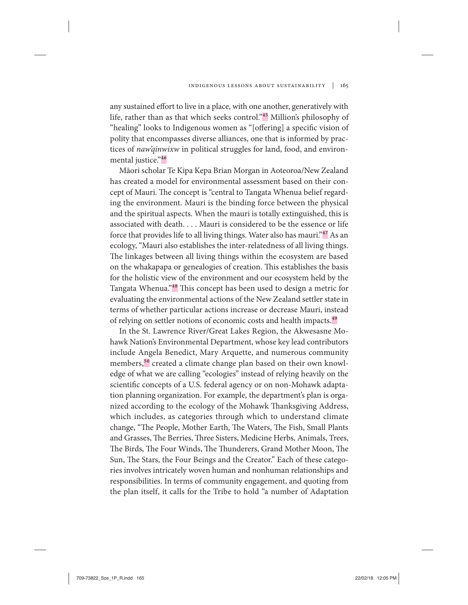any sustained effort to live in a place, with one another, generatively with life, rather than as that which seeks control."<sup>45</sup> Million's philosophy of "healing" looks to Indigenous women as "[offering] a specific vision of polity that encompasses diverse alliances, one that is informed by practices of naw'qinwixw in political struggles for land, food, and environmental justice."46

Māori scholar Te Kipa Kepa Brian Morgan in Aoteoroa/New Zealand has created a model for environmental assessment based on their concept of Mauri. The concept is "central to Tangata Whenua belief regarding the environment. Mauri is the binding force between the physical and the spiritual aspects. When the mauri is totally extinguished, this is associated with death. . . . Mauri is considered to be the essence or life force that provides life to all living things. Water also has mauri."<sup>47</sup> As an ecology, "Mauri also establishes the inter- relatedness of all living things. The linkages between all living things within the ecosystem are based on the whakapapa or genealogies of creation. This establishes the basis for the holistic view of the environment and our ecosystem held by the Tangata Whenua."48 This concept has been used to design a metric for evaluating the environmental actions of the New Zealand settler state in terms of whether particular actions increase or decrease Mauri, instead of relying on settler notions of economic costs and health impacts.<sup>49</sup>

In the St. Lawrence River/Great Lakes Region, the Akwesasne Mohawk Nation's Environmental Department, whose key lead contributors include Angela Benedict, Mary Arquette, and numerous community members,<sup>50</sup> created a climate change plan based on their own knowledge of what we are calling "ecologies" instead of relying heavily on the scientific concepts of a U.S. federal agency or on non- Mohawk adaptation planning organization. For example, the department's plan is organized according to the ecology of the Mohawk Thanksgiving Address, which includes, as categories through which to understand climate change, "The People, Mother Earth, The Waters, The Fish, Small Plants and Grasses, The Berries, Three Sisters, Medicine Herbs, Animals, Trees, The Birds, The Four Winds, The Thunderers, Grand Mother Moon, The Sun, The Stars, the Four Beings and the Creator." Each of these categories involves intricately woven human and nonhuman relationships and responsibilities. In terms of community engagement, and quoting from the plan itself, it calls for the Tribe to hold "a number of Adaptation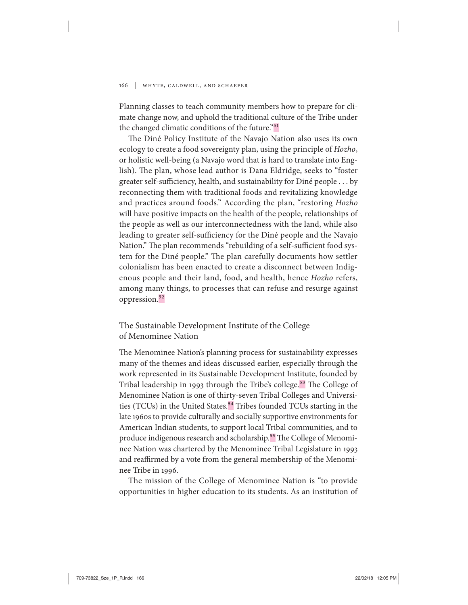Planning classes to teach community members how to prepare for climate change now, and uphold the traditional culture of the Tribe under the changed climatic conditions of the future."<sup>51</sup>

The Diné Policy Institute of the Navajo Nation also uses its own ecology to create a food sovereignty plan, using the principle of Hozho, or holistic well- being (a Navajo word that is hard to translate into English). The plan, whose lead author is Dana Eldridge, seeks to "foster greater self- sufficiency, health, and sustainability for Diné people . . . by reconnecting them with traditional foods and revitalizing knowledge and practices around foods." According the plan, "restoring Hozho will have positive impacts on the health of the people, relationships of the people as well as our interconnectedness with the land, while also leading to greater self- sufficiency for the Diné people and the Navajo Nation." The plan recommends "rebuilding of a self- sufficient food system for the Diné people." The plan carefully documents how settler colonialism has been enacted to create a disconnect between Indigenous people and their land, food, and health, hence Hozho refers, among many things, to processes that can refuse and resurge against oppression.<sup>52</sup>

# The Sustainable Development Institute of the College of Menominee Nation

The Menominee Nation's planning process for sustainability expresses many of the themes and ideas discussed earlier, especially through the work represented in its Sustainable Development Institute, founded by Tribal leadership in 1993 through the Tribe's college.<sup>53</sup> The College of Menominee Nation is one of thirty- seven Tribal Colleges and Universities (TCUs) in the United States.<sup>54</sup> Tribes founded TCUs starting in the late 1960s to provide culturally and socially supportive environments for American Indian students, to support local Tribal communities, and to produce indigenous research and scholarship.<sup>55</sup> The College of Menominee Nation was chartered by the Menominee Tribal Legislature in 1993 and reaffirmed by a vote from the general membership of the Menominee Tribe in 1996.

The mission of the College of Menominee Nation is "to provide opportunities in higher education to its students. As an institution of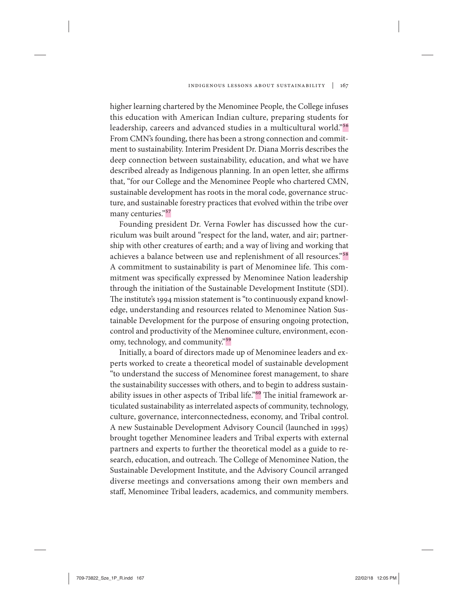higher learning chartered by the Menominee People, the College infuses this education with American Indian culture, preparing students for leadership, careers and advanced studies in a multicultural world."<sup>56</sup> From CMN's founding, there has been a strong connection and commitment to sustainability. Interim President Dr. Diana Morris describes the deep connection between sustainability, education, and what we have described already as Indigenous planning. In an open letter, she affirms that, "for our College and the Menominee People who chartered CMN, sustainable development has roots in the moral code, governance structure, and sustainable forestry practices that evolved within the tribe over many centuries."<sup>57</sup>

Founding president Dr. Verna Fowler has discussed how the curriculum was built around "respect for the land, water, and air; partnership with other creatures of earth; and a way of living and working that achieves a balance between use and replenishment of all resources."58 A commitment to sustainability is part of Menominee life. This commitment was specifically expressed by Menominee Nation leadership through the initiation of the Sustainable Development Institute (SDI). The institute's 1994 mission statement is "to continuously expand knowledge, understanding and resources related to Menominee Nation Sustainable Development for the purpose of ensuring ongoing protection, control and productivity of the Menominee culture, environment, economy, technology, and community."59

Initially, a board of directors made up of Menominee leaders and experts worked to create a theoretical model of sustainable development "to understand the success of Menominee forest management, to share the sustainability successes with others, and to begin to address sustainability issues in other aspects of Tribal life."<sup>60</sup> The initial framework articulated sustainability as interrelated aspects of community, technology, culture, governance, interconnectedness, economy, and Tribal control. A new Sustainable Development Advisory Council (launched in 1995) brought together Menominee leaders and Tribal experts with external partners and experts to further the theoretical model as a guide to research, education, and outreach. The College of Menominee Nation, the Sustainable Development Institute, and the Advisory Council arranged diverse meetings and conversations among their own members and staff, Menominee Tribal leaders, academics, and community members.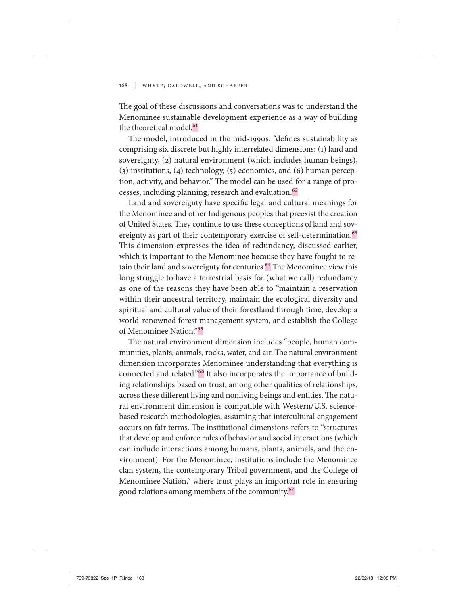The goal of these discussions and conversations was to understand the Menominee sustainable development experience as a way of building the theoretical model.<sup>61</sup>

The model, introduced in the mid-1990s, "defines sustainability as comprising six discrete but highly interrelated dimensions: (1) land and sovereignty, (2) natural environment (which includes human beings), (3) institutions, (4) technology, (5) economics, and (6) human perception, activity, and behavior." The model can be used for a range of processes, including planning, research and evaluation.<sup>62</sup>

Land and sovereignty have specific legal and cultural meanings for the Menominee and other Indigenous peoples that preexist the creation of United States. They continue to use these conceptions of land and sovereignty as part of their contemporary exercise of self-determination.<sup>63</sup> This dimension expresses the idea of redundancy, discussed earlier, which is important to the Menominee because they have fought to retain their land and sovereignty for centuries.<sup>64</sup> The Menominee view this long struggle to have a terrestrial basis for (what we call) redundancy as one of the reasons they have been able to "maintain a reservation within their ancestral territory, maintain the ecological diversity and spiritual and cultural value of their forestland through time, develop a world- renowned forest management system, and establish the College of Menominee Nation."65

The natural environment dimension includes "people, human communities, plants, animals, rocks, water, and air. The natural environment dimension incorporates Menominee understanding that everything is connected and related."66 It also incorporates the importance of building relationships based on trust, among other qualities of relationships, across these different living and nonliving beings and entities. The natural environment dimension is compatible with Western/U.S. sciencebased research methodologies, assuming that intercultural engagement occurs on fair terms. The institutional dimensions refers to "structures that develop and enforce rules of behavior and social interactions (which can include interactions among humans, plants, animals, and the environment). For the Menominee, institutions include the Menominee clan system, the contemporary Tribal government, and the College of Menominee Nation," where trust plays an important role in ensuring good relations among members of the community.67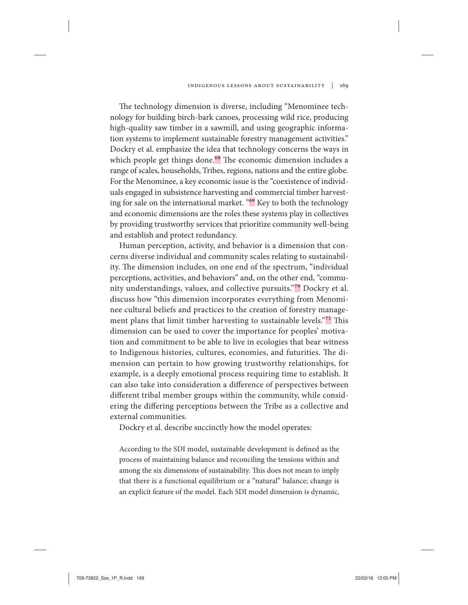The technology dimension is diverse, including "Menominee technology for building birch- bark canoes, processing wild rice, producing high-quality saw timber in a sawmill, and using geographic information systems to implement sustainable forestry management activities." Dockry et al. emphasize the idea that technology concerns the ways in which people get things done.<sup>68</sup> The economic dimension includes a range of scales, households, Tribes, regions, nations and the entire globe. For the Menominee, a key economic issue is the "coexistence of individuals engaged in subsistence harvesting and commercial timber harvesting for sale on the international market. "69 Key to both the technology and economic dimensions are the roles these systems play in collectives by providing trustworthy services that prioritize community well- being and establish and protect redundancy.

Human perception, activity, and behavior is a dimension that concerns diverse individual and community scales relating to sustainability. The dimension includes, on one end of the spectrum, "individual perceptions, activities, and behaviors" and, on the other end, "community understandings, values, and collective pursuits."70 Dockry et al. discuss how "this dimension incorporates everything from Menominee cultural beliefs and practices to the creation of forestry management plans that limit timber harvesting to sustainable levels."<sup>71</sup> This dimension can be used to cover the importance for peoples' motivation and commitment to be able to live in ecologies that bear witness to Indigenous histories, cultures, economies, and futurities. The dimension can pertain to how growing trustworthy relationships, for example, is a deeply emotional process requiring time to establish. It can also take into consideration a difference of perspectives between different tribal member groups within the community, while considering the differing perceptions between the Tribe as a collective and external communities.

Dockry et al. describe succinctly how the model operates:

According to the SDI model, sustainable development is defined as the process of maintaining balance and reconciling the tensions within and among the six dimensions of sustainability. This does not mean to imply that there is a functional equilibrium or a "natural" balance; change is an explicit feature of the model. Each SDI model dimension is dynamic,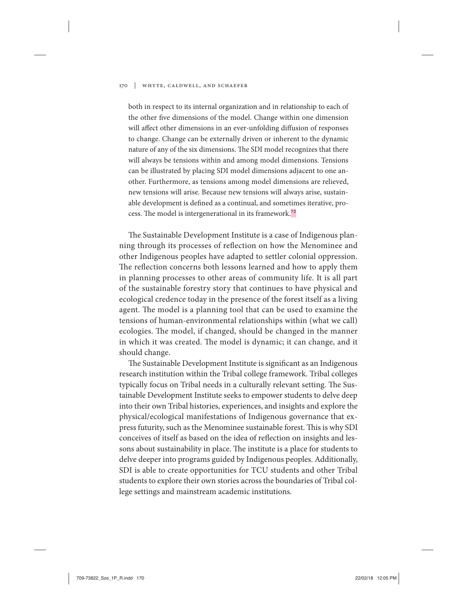both in respect to its internal organization and in relationship to each of the other five dimensions of the model. Change within one dimension will affect other dimensions in an ever-unfolding diffusion of responses to change. Change can be externally driven or inherent to the dynamic nature of any of the six dimensions. The SDI model recognizes that there will always be tensions within and among model dimensions. Tensions can be illustrated by placing SDI model dimensions adjacent to one another. Furthermore, as tensions among model dimensions are relieved, new tensions will arise. Because new tensions will always arise, sustainable development is defined as a continual, and sometimes iterative, process. The model is intergenerational in its framework.72

The Sustainable Development Institute is a case of Indigenous planning through its processes of reflection on how the Menominee and other Indigenous peoples have adapted to settler colonial oppression. The reflection concerns both lessons learned and how to apply them in planning processes to other areas of community life. It is all part of the sustainable forestry story that continues to have physical and ecological credence today in the presence of the forest itself as a living agent. The model is a planning tool that can be used to examine the tensions of human- environmental relationships within (what we call) ecologies. The model, if changed, should be changed in the manner in which it was created. The model is dynamic; it can change, and it should change.

The Sustainable Development Institute is significant as an Indigenous research institution within the Tribal college framework. Tribal colleges typically focus on Tribal needs in a culturally relevant setting. The Sustainable Development Institute seeks to empower students to delve deep into their own Tribal histories, experiences, and insights and explore the physical/ecological manifestations of Indigenous governance that express futurity, such as the Menominee sustainable forest. This is why SDI conceives of itself as based on the idea of reflection on insights and lessons about sustainability in place. The institute is a place for students to delve deeper into programs guided by Indigenous peoples. Additionally, SDI is able to create opportunities for TCU students and other Tribal students to explore their own stories across the boundaries of Tribal college settings and mainstream academic institutions.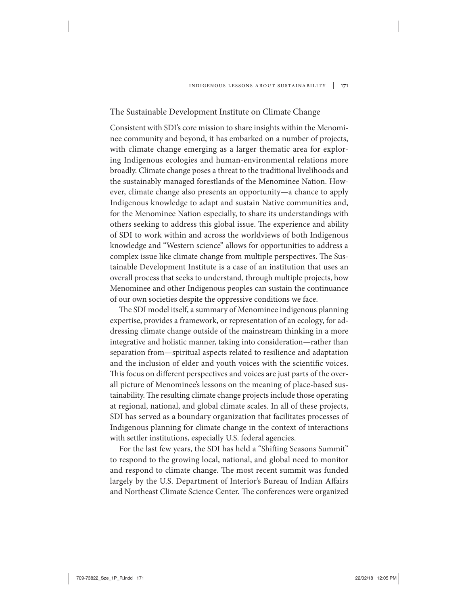# The Sustainable Development Institute on Climate Change

Consistent with SDI's core mission to share insights within the Menominee community and beyond, it has embarked on a number of projects, with climate change emerging as a larger thematic area for exploring Indigenous ecologies and human- environmental relations more broadly. Climate change poses a threat to the traditional livelihoods and the sustainably managed forestlands of the Menominee Nation. However, climate change also presents an opportunity— a chance to apply Indigenous knowledge to adapt and sustain Native communities and, for the Menominee Nation especially, to share its understandings with others seeking to address this global issue. The experience and ability of SDI to work within and across the worldviews of both Indigenous knowledge and "Western science" allows for opportunities to address a complex issue like climate change from multiple perspectives. The Sustainable Development Institute is a case of an institution that uses an overall process that seeks to understand, through multiple projects, how Menominee and other Indigenous peoples can sustain the continuance of our own societies despite the oppressive conditions we face.

The SDI model itself, a summary of Menominee indigenous planning expertise, provides a framework, or representation of an ecology, for addressing climate change outside of the mainstream thinking in a more integrative and holistic manner, taking into consideration— rather than separation from— spiritual aspects related to resilience and adaptation and the inclusion of elder and youth voices with the scientific voices. This focus on different perspectives and voices are just parts of the overall picture of Menominee's lessons on the meaning of place- based sustainability. The resulting climate change projects include those operating at regional, national, and global climate scales. In all of these projects, SDI has served as a boundary organization that facilitates processes of Indigenous planning for climate change in the context of interactions with settler institutions, especially U.S. federal agencies.

For the last few years, the SDI has held a "Shifting Seasons Summit" to respond to the growing local, national, and global need to monitor and respond to climate change. The most recent summit was funded largely by the U.S. Department of Interior's Bureau of Indian Affairs and Northeast Climate Science Center. The conferences were organized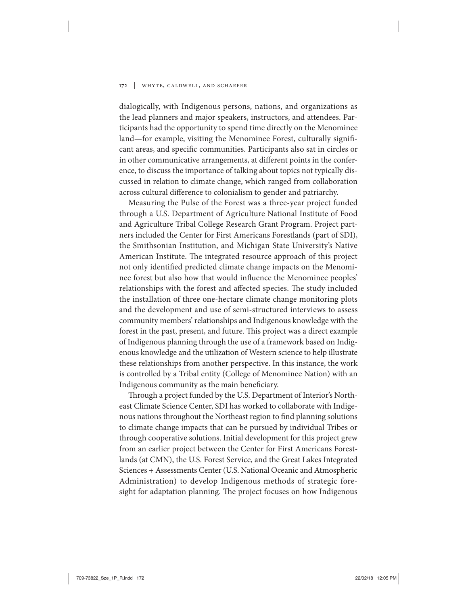dialogically, with Indigenous persons, nations, and organizations as the lead planners and major speakers, instructors, and attendees. Participants had the opportunity to spend time directly on the Menominee land— for example, visiting the Menominee Forest, culturally significant areas, and specific communities. Participants also sat in circles or in other communicative arrangements, at different points in the conference, to discuss the importance of talking about topics not typically discussed in relation to climate change, which ranged from collaboration across cultural difference to colonialism to gender and patriarchy.

Measuring the Pulse of the Forest was a three- year project funded through a U.S. Department of Agriculture National Institute of Food and Agriculture Tribal College Research Grant Program. Project partners included the Center for First Americans Forestlands (part of SDI), the Smithsonian Institution, and Michigan State University's Native American Institute. The integrated resource approach of this project not only identified predicted climate change impacts on the Menominee forest but also how that would influence the Menominee peoples' relationships with the forest and affected species. The study included the installation of three one- hectare climate change monitoring plots and the development and use of semi- structured interviews to assess community members' relationships and Indigenous knowledge with the forest in the past, present, and future. This project was a direct example of Indigenous planning through the use of a framework based on Indigenous knowledge and the utilization of Western science to help illustrate these relationships from another perspective. In this instance, the work is controlled by a Tribal entity (College of Menominee Nation) with an Indigenous community as the main beneficiary.

Through a project funded by the U.S. Department of Interior's Northeast Climate Science Center, SDI has worked to collaborate with Indigenous nations throughout the Northeast region to find planning solutions to climate change impacts that can be pursued by individual Tribes or through cooperative solutions. Initial development for this project grew from an earlier project between the Center for First Americans Forestlands (at CMN), the U.S. Forest Service, and the Great Lakes Integrated Sciences + Assessments Center (U.S. National Oceanic and Atmospheric Administration) to develop Indigenous methods of strategic foresight for adaptation planning. The project focuses on how Indigenous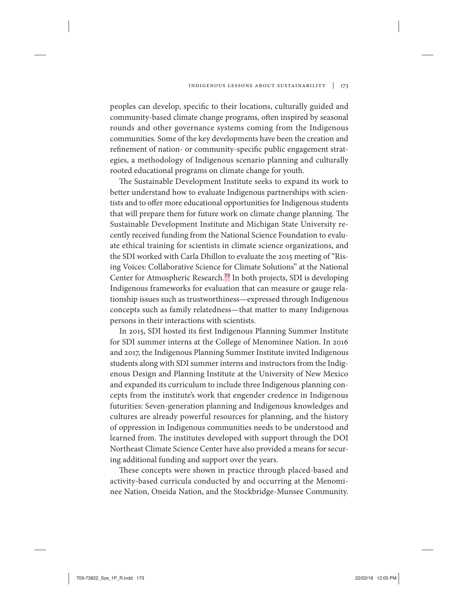peoples can develop, specific to their locations, culturally guided and community- based climate change programs, often inspired by seasonal rounds and other governance systems coming from the Indigenous communities. Some of the key developments have been the creation and refinement of nation- or community- specific public engagement strategies, a methodology of Indigenous scenario planning and culturally rooted educational programs on climate change for youth.

The Sustainable Development Institute seeks to expand its work to better understand how to evaluate Indigenous partnerships with scientists and to offer more educational opportunities for Indigenous students that will prepare them for future work on climate change planning. The Sustainable Development Institute and Michigan State University recently received funding from the National Science Foundation to evaluate ethical training for scientists in climate science organizations, and the SDI worked with Carla Dhillon to evaluate the 2015 meeting of "Rising Voices: Collaborative Science for Climate Solutions" at the National Center for Atmospheric Research.<sup>73</sup> In both projects, SDI is developing Indigenous frameworks for evaluation that can measure or gauge relationship issues such as trustworthiness— expressed through Indigenous concepts such as family relatedness— that matter to many Indigenous persons in their interactions with scientists.

In 2015, SDI hosted its first Indigenous Planning Summer Institute for SDI summer interns at the College of Menominee Nation. In 2016 and 2017, the Indigenous Planning Summer Institute invited Indigenous students along with SDI summer interns and instructors from the Indigenous Design and Planning Institute at the University of New Mexico and expanded its curriculum to include three Indigenous planning concepts from the institute's work that engender credence in Indigenous futurities: Seven- generation planning and Indigenous knowledges and cultures are already powerful resources for planning, and the history of oppression in Indigenous communities needs to be understood and learned from. The institutes developed with support through the DOI Northeast Climate Science Center have also provided a means for securing additional funding and support over the years.

These concepts were shown in practice through placed-based and activity- based curricula conducted by and occurring at the Menominee Nation, Oneida Nation, and the Stockbridge- Munsee Community.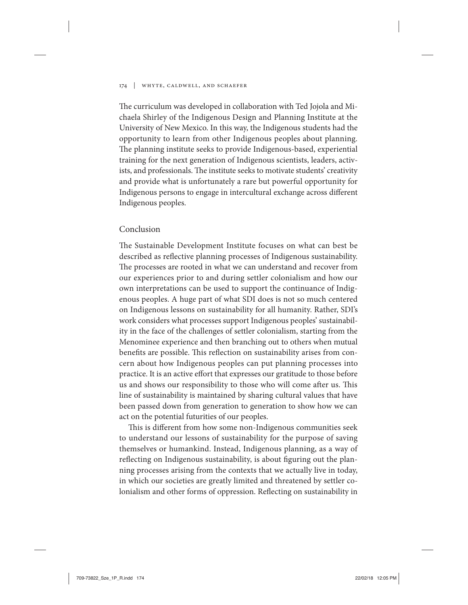The curriculum was developed in collaboration with Ted Jojola and Michaela Shirley of the Indigenous Design and Planning Institute at the University of New Mexico. In this way, the Indigenous students had the opportunity to learn from other Indigenous peoples about planning. The planning institute seeks to provide Indigenous- based, experiential training for the next generation of Indigenous scientists, leaders, activists, and professionals. The institute seeks to motivate students' creativity and provide what is unfortunately a rare but powerful opportunity for Indigenous persons to engage in intercultural exchange across different Indigenous peoples.

# Conclusion

The Sustainable Development Institute focuses on what can best be described as reflective planning processes of Indigenous sustainability. The processes are rooted in what we can understand and recover from our experiences prior to and during settler colonialism and how our own interpretations can be used to support the continuance of Indigenous peoples. A huge part of what SDI does is not so much centered on Indigenous lessons on sustainability for all humanity. Rather, SDI's work considers what processes support Indigenous peoples' sustainability in the face of the challenges of settler colonialism, starting from the Menominee experience and then branching out to others when mutual benefits are possible. This reflection on sustainability arises from concern about how Indigenous peoples can put planning processes into practice. It is an active effort that expresses our gratitude to those before us and shows our responsibility to those who will come after us. This line of sustainability is maintained by sharing cultural values that have been passed down from generation to generation to show how we can act on the potential futurities of our peoples.

This is different from how some non- Indigenous communities seek to understand our lessons of sustainability for the purpose of saving themselves or humankind. Instead, Indigenous planning, as a way of reflecting on Indigenous sustainability, is about figuring out the planning processes arising from the contexts that we actually live in today, in which our societies are greatly limited and threatened by settler colonialism and other forms of oppression. Reflecting on sustainability in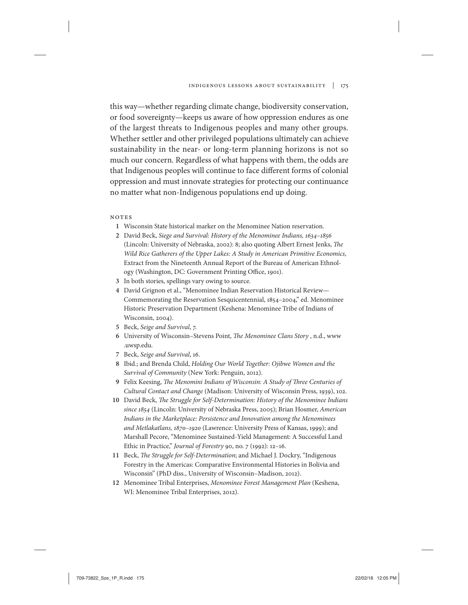this way— whether regarding climate change, biodiversity conservation, or food sovereignty— keeps us aware of how oppression endures as one of the largest threats to Indigenous peoples and many other groups. Whether settler and other privileged populations ultimately can achieve sustainability in the near- or long- term planning horizons is not so much our concern. Regardless of what happens with them, the odds are that Indigenous peoples will continue to face different forms of colonial oppression and must innovate strategies for protecting our continuance no matter what non- Indigenous populations end up doing.

## **NOTES**

- **1** Wisconsin State historical marker on the Menominee Nation reservation.
- **2** David Beck, Siege and Survival: History of the Menominee Indians, 1634– 1856 (Lincoln: University of Nebraska, 2002): 8; also quoting Albert Ernest Jenks, The Wild Rice Gatherers of the Upper Lakes: A Study in American Primitive Economics, Extract from the Nineteenth Annual Report of the Bureau of American Ethnology (Washington, DC: Government Printing Office, 1901).
- **3** In both stories, spellings vary owing to source.
- **4** David Grignon et al., "Menominee Indian Reservation Historical Review— Commemorating the Reservation Sesquicentennial, 1854– 2004," ed. Menominee Historic Preservation Department (Keshena: Menominee Tribe of Indians of Wisconsin, 2004).
- **5** Beck, Seige and Survival, 7.
- **6** University of Wisconsin– Stevens Point, The Menominee Clans Story , n.d., www .uwsp.edu.
- **7** Beck, Seige and Survival, 16.
- **8** Ibid.; and Brenda Child, Holding Our World Together: Ojibwe Women and the Survival of Community (New York: Penguin, 2012).
- **9** Felix Keesing, The Menomini Indians of Wisconsin: A Study of Three Centuries of Cultural Contact and Change (Madison: University of Wisconsin Press, 1939), 102.
- **10** David Beck, The Struggle for Self- Determination: History of the Menominee Indians since 1854 (Lincoln: University of Nebraska Press, 2005); Brian Hosmer, American Indians in the Marketplace: Persistence and Innovation among the Menominees and Metlakatlans, 1870-1920 (Lawrence: University Press of Kansas, 1999); and Marshall Pecore, "Menominee Sustained- Yield Management: A Successful Land Ethic in Practice," Journal of Forestry 90, no. 7 (1992): 12– 16.
- **11** Beck, The Struggle for Self- Determination; and Michael J. Dockry, "Indigenous Forestry in the Americas: Comparative Environmental Histories in Bolivia and Wisconsin" (PhD diss., University of Wisconsin– Madison, 2012).
- **12** Menominee Tribal Enterprises, Menominee Forest Management Plan (Keshena, WI: Menominee Tribal Enterprises, 2012).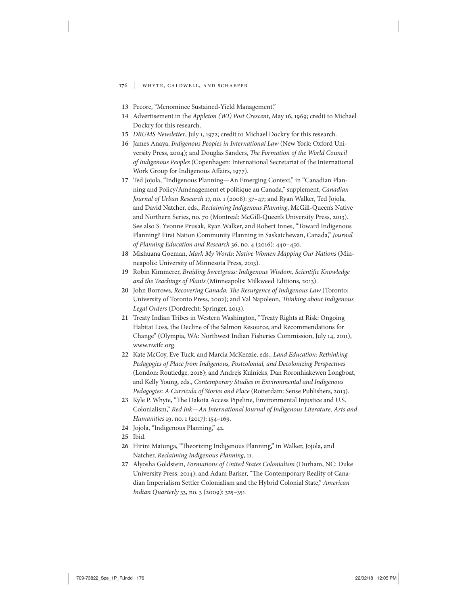- **13** Pecore, "Menominee Sustained- Yield Management."
- **14** Advertisement in the Appleton (WI) Post Crescent, May 16, 1969; credit to Michael Dockry for this research.
- **15** DRUMS Newsletter, July 1, 1972; credit to Michael Dockry for this research.
- **16** James Anaya, Indigenous Peoples in International Law (New York: Oxford University Press, 2004); and Douglas Sanders, The Formation of the World Council of Indigenous Peoples (Copenhagen: International Secretariat of the International Work Group for Indigenous Affairs, 1977).
- **17** Ted Jojola, "Indigenous Planning— An Emerging Context," in "Canadian Planning and Policy/Aménagement et politique au Canada," supplement, Canadian Journal of Urban Research 17, no. 1 (2008): 37– 47; and Ryan Walker, Ted Jojola, and David Natcher, eds., Reclaiming Indigenous Planning, McGill- Queen's Native and Northern Series, no. 70 (Montreal: McGill- Queen's University Press, 2013). See also S. Yvonne Prusak, Ryan Walker, and Robert Innes, "Toward Indigenous Planning? First Nation Community Planning in Saskatchewan, Canada," Journal of Planning Education and Research 36, no. 4 (2016): 440– 450.
- **18** Mishuana Goeman, Mark My Words: Native Women Mapping Our Nations (Minneapolis: University of Minnesota Press, 2013).
- **19** Robin Kimmerer, Braiding Sweetgrass: Indigenous Wisdom, Scientific Knowledge and the Teachings of Plants (Minneapolis: Milkweed Editions, 2013).
- **20** John Borrows, Recovering Canada: The Resurgence of Indigenous Law (Toronto: University of Toronto Press, 2002); and Val Napoleon, Thinking about Indigenous Legal Orders (Dordrecht: Springer, 2013).
- **21** Treaty Indian Tribes in Western Washington, "Treaty Rights at Risk: Ongoing Habitat Loss, the Decline of the Salmon Resource, and Recommendations for Change" (Olympia, WA: Northwest Indian Fisheries Commission, July 14, 2011), www.nwifc.org.
- **22** Kate McCoy, Eve Tuck, and Marcia McKenzie, eds., Land Education: Rethinking Pedagogies of Place from Indigenous, Postcolonial, and Decolonizing Perspectives (London: Routledge, 2016); and Andrejs Kulnieks, Dan Roronhiakewen Longboat, and Kelly Young, eds., Contemporary Studies in Environmental and Indigenous Pedagogies: A Curricula of Stories and Place (Rotterdam: Sense Publishers, 2013).
- **23** Kyle P. Whyte, "The Dakota Access Pipeline, Environmental Injustice and U.S. Colonialism," Red Ink— An International Journal of Indigenous Literature, Arts and Humanities 19, no. 1 (2017): 154-169.
- **24** Jojola, "Indigenous Planning," 42.
- **25** Ibid.
- **26** Hirini Matunga, "Theorizing Indigenous Planning," in Walker, Jojola, and Natcher, Reclaiming Indigenous Planning, 11.
- **27** Alyosha Goldstein, Formations of United States Colonialism (Durham, NC: Duke University Press, 2014); and Adam Barker, "The Contemporary Reality of Canadian Imperialism Settler Colonialism and the Hybrid Colonial State," American Indian Quarterly 33, no. 3 (2009): 325– 351.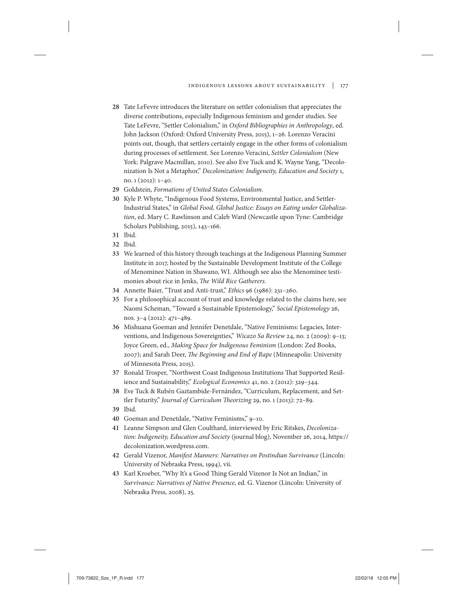- **28** Tate LeFevre introduces the literature on settler colonialism that appreciates the diverse contributions, especially Indigenous feminism and gender studies. See Tate LeFevre, "Settler Colonialism," in Oxford Bibliographies in Anthropology, ed. John Jackson (Oxford: Oxford University Press, 2015), 1– 26. Lorenzo Veracini points out, though, that settlers certainly engage in the other forms of colonialism during processes of settlement. See Lorenzo Veracini, Settler Colonialism (New York: Palgrave Macmillan, 2010). See also Eve Tuck and K. Wayne Yang, "Decolonization Is Not a Metaphor," Decolonization: Indigeneity, Education and Society 1, no. 1 (2012): 1– 40.
- **29** Goldstein, Formations of United States Colonialism.
- **30** Kyle P. Whyte, "Indigenous Food Systems, Environmental Justice, and Settler-Industrial States," in Global Food, Global Justice: Essays on Eating under Globalization, ed. Mary C. Rawlinson and Caleb Ward (Newcastle upon Tyne: Cambridge Scholars Publishing, 2015), 143-166.
- **31** Ibid.
- **32** Ibid.
- **33** We learned of this history through teachings at the Indigenous Planning Summer Institute in 2017, hosted by the Sustainable Development Institute of the College of Menominee Nation in Shawano, WI. Although see also the Menominee testimonies about rice in Jenks, The Wild Rice Gatherers.
- **34** Annette Baier, "Trust and Anti- trust," Ethics 96 (1986): 231– 260.
- **35** For a philosophical account of trust and knowledge related to the claims here, see Naomi Scheman, "Toward a Sustainable Epistemology," Social Epistemology 26, nos. 3– 4 (2012): 471– 489.
- **36** Mishuana Goeman and Jennifer Denetdale, "Native Feminisms: Legacies, Interventions, and Indigenous Sovereignties," Wicazo Sa Review 24, no. 2 (2009): 9-13; Joyce Green, ed., Making Space for Indigenous Feminism (London: Zed Books, 2007); and Sarah Deer, The Beginning and End of Rape (Minneapolis: University of Minnesota Press, 2015).
- **37** Ronald Trosper, "Northwest Coast Indigenous Institutions That Supported Resilience and Sustainability," Ecological Economics 41, no. 2 (2012): 329-344.
- **38** Eve Tuck & Rubén Gaztambide- Fernández, "Curriculum, Replacement, and Settler Futurity," Journal of Curriculum Theorizing 29, no. 1 (2013): 72– 89.
- **39** Ibid.
- **40** Goeman and Denetdale, "Native Feminisms," 9– 10.
- **41** Leanne Simpson and Glen Coulthard, interviewed by Eric Ritskes, Decolonization: Indigeneity, Education and Society (journal blog), November 26, 2014, https:// decolonization.wordpress.com.
- **42** Gerald Vizenor, Manifest Manners: Narratives on Postindian Survivance (Lincoln: University of Nebraska Press, 1994), vii.
- **43** Karl Kroeber, "Why It's a Good Thing Gerald Vizenor Is Not an Indian," in Survivance: Narratives of Native Presence, ed. G. Vizenor (Lincoln: University of Nebraska Press, 2008), 25.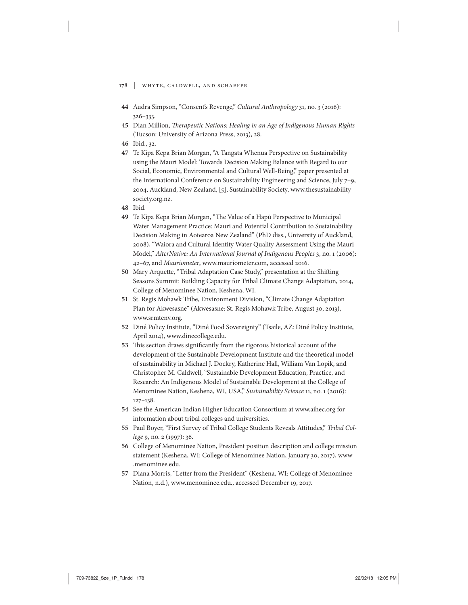- **44** Audra Simpson, "Consent's Revenge," Cultural Anthropology 31, no. 3 (2016): 326– 333.
- **45** Dian Million, Therapeutic Nations: Healing in an Age of Indigenous Human Rights (Tucson: University of Arizona Press, 2013), 28.
- **46** Ibid., 32.
- **47** Te Kipa Kepa Brian Morgan, "A Tangata Whenua Perspective on Sustainability using the Mauri Model: Towards Decision Making Balance with Regard to our Social, Economic, Environmental and Cultural Well- Being," paper presented at the International Conference on Sustainability Engineering and Science, July 7-9, 2004, Auckland, New Zealand, [5], Sustainability Society, www.thesustainability society.org.nz.
- **48** Ibid.
- **49** Te Kipa Kepa Brian Morgan, "The Value of a Hapū Perspective to Municipal Water Management Practice: Mauri and Potential Contribution to Sustainability Decision Making in Aotearoa New Zealand" (PhD diss., University of Auckland, 2008), "Waiora and Cultural Identity Water Quality Assessment Using the Mauri Model," AlterNative: An International Journal of Indigenous Peoples 3, no. 1 (2006): 42-67, and Mauriometer, www.mauriometer.com, accessed 2016.
- **50** Mary Arquette, "Tribal Adaptation Case Study," presentation at the Shifting Seasons Summit: Building Capacity for Tribal Climate Change Adaptation, 2014, College of Menominee Nation, Keshena, WI.
- **51** St. Regis Mohawk Tribe, Environment Division, "Climate Change Adaptation Plan for Akwesasne" (Akwesasne: St. Regis Mohawk Tribe, August 30, 2013), www.srmtenv.org.
- **52** Diné Policy Institute, "Diné Food Sovereignty" (Tsaile, AZ: Diné Policy Institute, April 2014), www.dinecollege.edu.
- **53** This section draws significantly from the rigorous historical account of the development of the Sustainable Development Institute and the theoretical model of sustainability in Michael J. Dockry, Katherine Hall, William Van Lopik, and Christopher M. Caldwell, "Sustainable Development Education, Practice, and Research: An Indigenous Model of Sustainable Development at the College of Menominee Nation, Keshena, WI, USA," Sustainability Science 11, no. 1 (2016):  $127 - 138$ .
- **54** See the American Indian Higher Education Consortium at www.aihec.org for information about tribal colleges and universities.
- 55 Paul Boyer, "First Survey of Tribal College Students Reveals Attitudes," Tribal College 9, no. 2 (1997): 36.
- **56** College of Menominee Nation, President position description and college mission statement (Keshena, WI: College of Menominee Nation, January 30, 2017), www .menominee.edu.
- **57** Diana Morris, "Letter from the President" (Keshena, WI: College of Menominee Nation, n.d.), www.menominee.edu., accessed December 19, 2017.